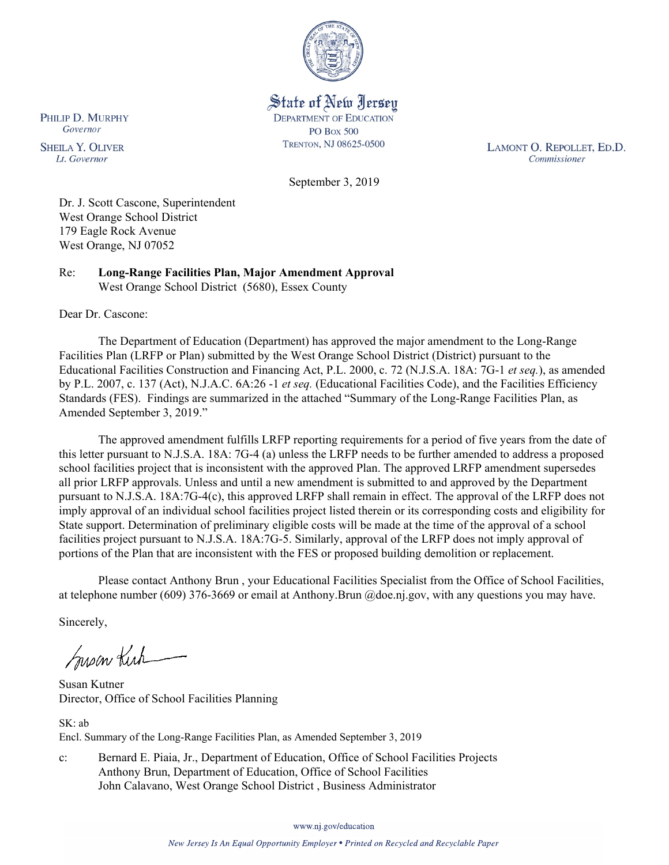

State of New Jersey **DEPARTMENT OF EDUCATION PO Box 500** TRENTON, NJ 08625-0500

LAMONT O. REPOLLET, ED.D. Commissioner

September 3, 2019

Dr. J. Scott Cascone, Superintendent West Orange School District 179 Eagle Rock Avenue West Orange, NJ 07052

Re: **Long-Range Facilities Plan, Major Amendment Approval** West Orange School District (5680), Essex County

Dear Dr. Cascone:

PHILIP D. MURPHY Governor

**SHEILA Y. OLIVER** 

Lt. Governor

The Department of Education (Department) has approved the major amendment to the Long-Range Facilities Plan (LRFP or Plan) submitted by the West Orange School District (District) pursuant to the Educational Facilities Construction and Financing Act, P.L. 2000, c. 72 (N.J.S.A. 18A: 7G-1 *et seq.*), as amended by P.L. 2007, c. 137 (Act), N.J.A.C. 6A:26 -1 *et seq.* (Educational Facilities Code), and the Facilities Efficiency Standards (FES). Findings are summarized in the attached "Summary of the Long-Range Facilities Plan, as Amended September 3, 2019."

The approved amendment fulfills LRFP reporting requirements for a period of five years from the date of this letter pursuant to N.J.S.A. 18A: 7G-4 (a) unless the LRFP needs to be further amended to address a proposed school facilities project that is inconsistent with the approved Plan. The approved LRFP amendment supersedes all prior LRFP approvals. Unless and until a new amendment is submitted to and approved by the Department pursuant to N.J.S.A. 18A:7G-4(c), this approved LRFP shall remain in effect. The approval of the LRFP does not imply approval of an individual school facilities project listed therein or its corresponding costs and eligibility for State support. Determination of preliminary eligible costs will be made at the time of the approval of a school facilities project pursuant to N.J.S.A. 18A:7G-5. Similarly, approval of the LRFP does not imply approval of portions of the Plan that are inconsistent with the FES or proposed building demolition or replacement.

Please contact Anthony Brun , your Educational Facilities Specialist from the Office of School Facilities, at telephone number (609) 376-3669 or email at Anthony.Brun @doe.nj.gov, with any questions you may have.

Sincerely,

Susan Kich

Susan Kutner Director, Office of School Facilities Planning

SK: ab Encl. Summary of the Long-Range Facilities Plan, as Amended September 3, 2019

c: Bernard E. Piaia, Jr., Department of Education, Office of School Facilities Projects Anthony Brun, Department of Education, Office of School Facilities John Calavano, West Orange School District , Business Administrator

www.nj.gov/education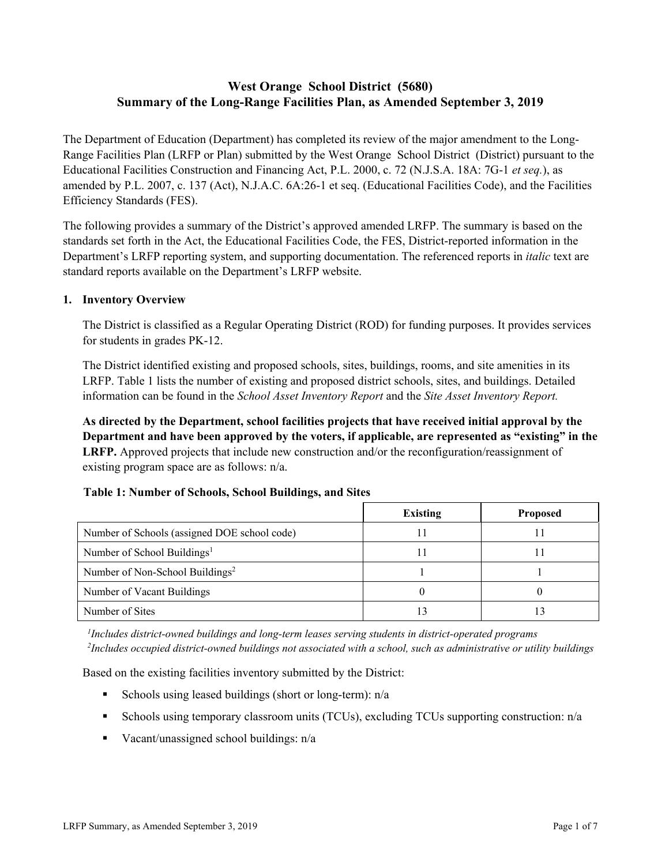# **West Orange School District (5680) Summary of the Long-Range Facilities Plan, as Amended September 3, 2019**

The Department of Education (Department) has completed its review of the major amendment to the Long-Range Facilities Plan (LRFP or Plan) submitted by the West Orange School District (District) pursuant to the Educational Facilities Construction and Financing Act, P.L. 2000, c. 72 (N.J.S.A. 18A: 7G-1 *et seq.*), as amended by P.L. 2007, c. 137 (Act), N.J.A.C. 6A:26-1 et seq. (Educational Facilities Code), and the Facilities Efficiency Standards (FES).

The following provides a summary of the District's approved amended LRFP. The summary is based on the standards set forth in the Act, the Educational Facilities Code, the FES, District-reported information in the Department's LRFP reporting system, and supporting documentation. The referenced reports in *italic* text are standard reports available on the Department's LRFP website.

### **1. Inventory Overview**

The District is classified as a Regular Operating District (ROD) for funding purposes. It provides services for students in grades PK-12.

The District identified existing and proposed schools, sites, buildings, rooms, and site amenities in its LRFP. Table 1 lists the number of existing and proposed district schools, sites, and buildings. Detailed information can be found in the *School Asset Inventory Report* and the *Site Asset Inventory Report.*

**As directed by the Department, school facilities projects that have received initial approval by the Department and have been approved by the voters, if applicable, are represented as "existing" in the LRFP.** Approved projects that include new construction and/or the reconfiguration/reassignment of existing program space are as follows: n/a.

# **Table 1: Number of Schools, School Buildings, and Sites**

|                                              | <b>Existing</b> | <b>Proposed</b> |
|----------------------------------------------|-----------------|-----------------|
| Number of Schools (assigned DOE school code) |                 |                 |
| Number of School Buildings <sup>1</sup>      |                 |                 |
| Number of Non-School Buildings <sup>2</sup>  |                 |                 |
| Number of Vacant Buildings                   |                 |                 |
| Number of Sites                              |                 |                 |

*1 Includes district-owned buildings and long-term leases serving students in district-operated programs 2 Includes occupied district-owned buildings not associated with a school, such as administrative or utility buildings*

Based on the existing facilities inventory submitted by the District:

- Schools using leased buildings (short or long-term):  $n/a$
- Schools using temporary classroom units (TCUs), excluding TCUs supporting construction: n/a
- Vacant/unassigned school buildings:  $n/a$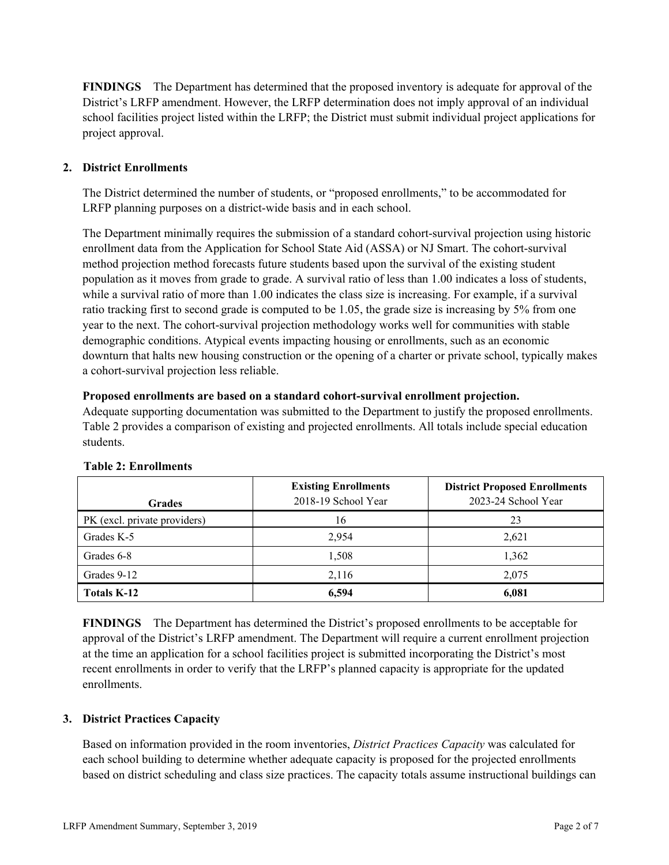**FINDINGS** The Department has determined that the proposed inventory is adequate for approval of the District's LRFP amendment. However, the LRFP determination does not imply approval of an individual school facilities project listed within the LRFP; the District must submit individual project applications for project approval.

# **2. District Enrollments**

The District determined the number of students, or "proposed enrollments," to be accommodated for LRFP planning purposes on a district-wide basis and in each school.

The Department minimally requires the submission of a standard cohort-survival projection using historic enrollment data from the Application for School State Aid (ASSA) or NJ Smart. The cohort-survival method projection method forecasts future students based upon the survival of the existing student population as it moves from grade to grade. A survival ratio of less than 1.00 indicates a loss of students, while a survival ratio of more than 1.00 indicates the class size is increasing. For example, if a survival ratio tracking first to second grade is computed to be 1.05, the grade size is increasing by 5% from one year to the next. The cohort-survival projection methodology works well for communities with stable demographic conditions. Atypical events impacting housing or enrollments, such as an economic downturn that halts new housing construction or the opening of a charter or private school, typically makes a cohort-survival projection less reliable.

### **Proposed enrollments are based on a standard cohort-survival enrollment projection.**

Adequate supporting documentation was submitted to the Department to justify the proposed enrollments. Table 2 provides a comparison of existing and projected enrollments. All totals include special education students.

| <b>Grades</b>                | <b>Existing Enrollments</b><br>2018-19 School Year | <b>District Proposed Enrollments</b><br>2023-24 School Year |
|------------------------------|----------------------------------------------------|-------------------------------------------------------------|
| PK (excl. private providers) | 16                                                 | 23                                                          |
| Grades K-5                   | 2,954                                              | 2,621                                                       |
| Grades 6-8                   | 1,508                                              | 1,362                                                       |
| Grades 9-12                  | 2,116                                              | 2.075                                                       |
| <b>Totals K-12</b>           | 6,594                                              | 6,081                                                       |

### **Table 2: Enrollments**

**FINDINGS** The Department has determined the District's proposed enrollments to be acceptable for approval of the District's LRFP amendment. The Department will require a current enrollment projection at the time an application for a school facilities project is submitted incorporating the District's most recent enrollments in order to verify that the LRFP's planned capacity is appropriate for the updated enrollments.

### **3. District Practices Capacity**

Based on information provided in the room inventories, *District Practices Capacity* was calculated for each school building to determine whether adequate capacity is proposed for the projected enrollments based on district scheduling and class size practices. The capacity totals assume instructional buildings can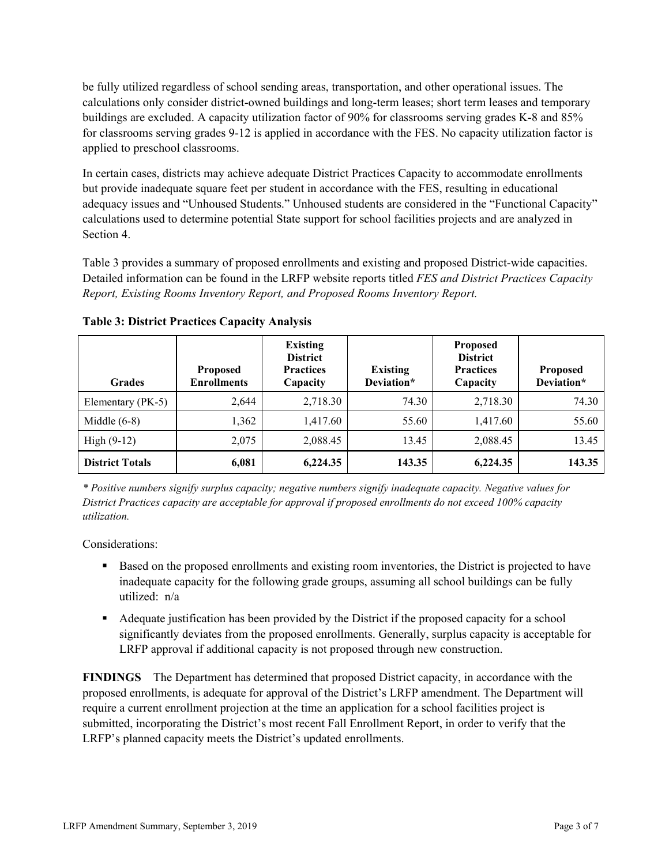be fully utilized regardless of school sending areas, transportation, and other operational issues. The calculations only consider district-owned buildings and long-term leases; short term leases and temporary buildings are excluded. A capacity utilization factor of 90% for classrooms serving grades K-8 and 85% for classrooms serving grades 9-12 is applied in accordance with the FES. No capacity utilization factor is applied to preschool classrooms.

In certain cases, districts may achieve adequate District Practices Capacity to accommodate enrollments but provide inadequate square feet per student in accordance with the FES, resulting in educational adequacy issues and "Unhoused Students." Unhoused students are considered in the "Functional Capacity" calculations used to determine potential State support for school facilities projects and are analyzed in Section 4.

Table 3 provides a summary of proposed enrollments and existing and proposed District-wide capacities. Detailed information can be found in the LRFP website reports titled *FES and District Practices Capacity Report, Existing Rooms Inventory Report, and Proposed Rooms Inventory Report.*

| <b>Grades</b>          | <b>Proposed</b><br><b>Enrollments</b> | <b>Existing</b><br><b>District</b><br><b>Practices</b><br>Capacity | <b>Existing</b><br>Deviation* | <b>Proposed</b><br><b>District</b><br><b>Practices</b><br>Capacity | <b>Proposed</b><br>Deviation* |
|------------------------|---------------------------------------|--------------------------------------------------------------------|-------------------------------|--------------------------------------------------------------------|-------------------------------|
| Elementary (PK-5)      | 2,644                                 | 2,718.30                                                           | 74.30                         | 2,718.30                                                           | 74.30                         |
| Middle $(6-8)$         | 1,362                                 | 1,417.60                                                           | 55.60                         | 1,417.60                                                           | 55.60                         |
| High $(9-12)$          | 2,075                                 | 2,088.45                                                           | 13.45                         | 2,088.45                                                           | 13.45                         |
| <b>District Totals</b> | 6,081                                 | 6,224.35                                                           | 143.35                        | 6,224.35                                                           | 143.35                        |

**Table 3: District Practices Capacity Analysis**

*\* Positive numbers signify surplus capacity; negative numbers signify inadequate capacity. Negative values for District Practices capacity are acceptable for approval if proposed enrollments do not exceed 100% capacity utilization.*

Considerations:

- Based on the proposed enrollments and existing room inventories, the District is projected to have inadequate capacity for the following grade groups, assuming all school buildings can be fully utilized: n/a
- Adequate justification has been provided by the District if the proposed capacity for a school significantly deviates from the proposed enrollments. Generally, surplus capacity is acceptable for LRFP approval if additional capacity is not proposed through new construction.

**FINDINGS**The Department has determined that proposed District capacity, in accordance with the proposed enrollments, is adequate for approval of the District's LRFP amendment. The Department will require a current enrollment projection at the time an application for a school facilities project is submitted, incorporating the District's most recent Fall Enrollment Report, in order to verify that the LRFP's planned capacity meets the District's updated enrollments.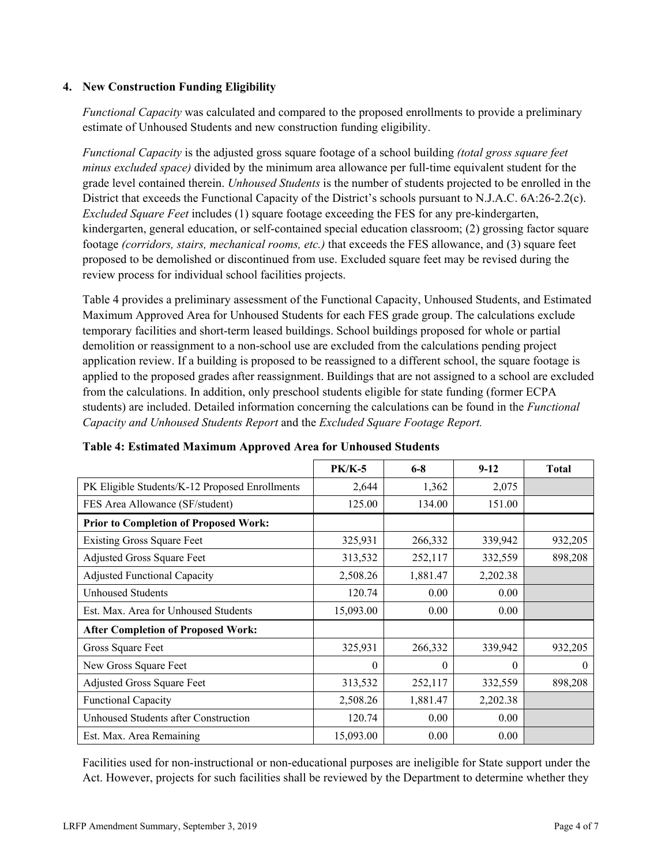### **4. New Construction Funding Eligibility**

*Functional Capacity* was calculated and compared to the proposed enrollments to provide a preliminary estimate of Unhoused Students and new construction funding eligibility.

*Functional Capacity* is the adjusted gross square footage of a school building *(total gross square feet minus excluded space)* divided by the minimum area allowance per full-time equivalent student for the grade level contained therein. *Unhoused Students* is the number of students projected to be enrolled in the District that exceeds the Functional Capacity of the District's schools pursuant to N.J.A.C. 6A:26-2.2(c). *Excluded Square Feet* includes (1) square footage exceeding the FES for any pre-kindergarten, kindergarten, general education, or self-contained special education classroom; (2) grossing factor square footage *(corridors, stairs, mechanical rooms, etc.)* that exceeds the FES allowance, and (3) square feet proposed to be demolished or discontinued from use. Excluded square feet may be revised during the review process for individual school facilities projects.

Table 4 provides a preliminary assessment of the Functional Capacity, Unhoused Students, and Estimated Maximum Approved Area for Unhoused Students for each FES grade group. The calculations exclude temporary facilities and short-term leased buildings. School buildings proposed for whole or partial demolition or reassignment to a non-school use are excluded from the calculations pending project application review. If a building is proposed to be reassigned to a different school, the square footage is applied to the proposed grades after reassignment. Buildings that are not assigned to a school are excluded from the calculations. In addition, only preschool students eligible for state funding (former ECPA students) are included. Detailed information concerning the calculations can be found in the *Functional Capacity and Unhoused Students Report* and the *Excluded Square Footage Report.*

|                                                | $PK/K-5$  | $6 - 8$  | $9-12$   | <b>Total</b> |
|------------------------------------------------|-----------|----------|----------|--------------|
| PK Eligible Students/K-12 Proposed Enrollments | 2,644     | 1,362    | 2,075    |              |
| FES Area Allowance (SF/student)                | 125.00    | 134.00   | 151.00   |              |
| <b>Prior to Completion of Proposed Work:</b>   |           |          |          |              |
| <b>Existing Gross Square Feet</b>              | 325,931   | 266,332  | 339,942  | 932,205      |
| Adjusted Gross Square Feet                     | 313,532   | 252,117  | 332,559  | 898,208      |
| <b>Adjusted Functional Capacity</b>            | 2,508.26  | 1,881.47 | 2,202.38 |              |
| Unhoused Students                              | 120.74    | 0.00     | 0.00     |              |
| Est. Max. Area for Unhoused Students           | 15,093.00 | 0.00     | 0.00     |              |
| <b>After Completion of Proposed Work:</b>      |           |          |          |              |
| Gross Square Feet                              | 325,931   | 266,332  | 339,942  | 932,205      |
| New Gross Square Feet                          | $\theta$  | $\theta$ | $\theta$ | $\theta$     |
| Adjusted Gross Square Feet                     | 313,532   | 252,117  | 332,559  | 898,208      |
| <b>Functional Capacity</b>                     | 2,508.26  | 1,881.47 | 2,202.38 |              |
| Unhoused Students after Construction           | 120.74    | 0.00     | 0.00     |              |
| Est. Max. Area Remaining                       | 15,093.00 | 0.00     | 0.00     |              |

### **Table 4: Estimated Maximum Approved Area for Unhoused Students**

Facilities used for non-instructional or non-educational purposes are ineligible for State support under the Act. However, projects for such facilities shall be reviewed by the Department to determine whether they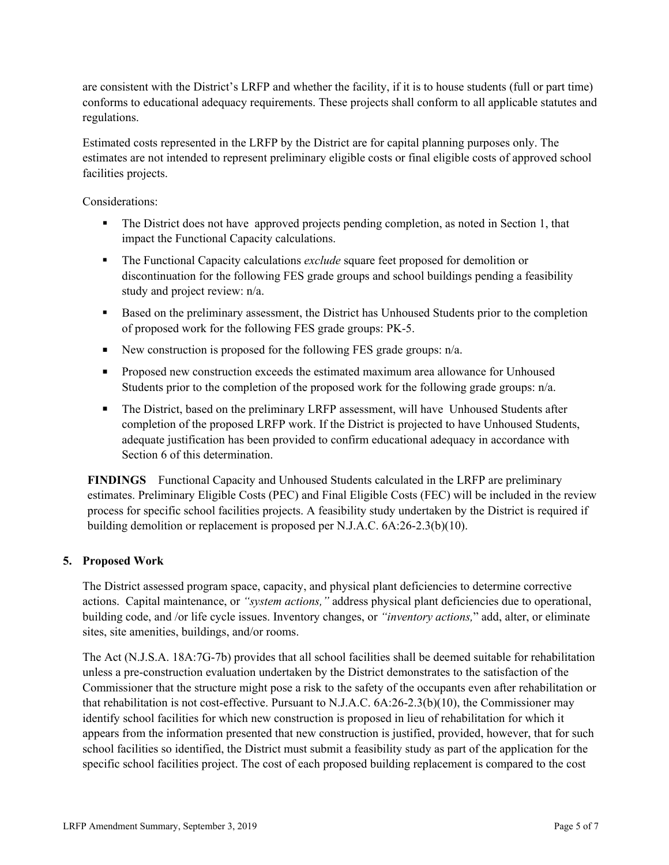are consistent with the District's LRFP and whether the facility, if it is to house students (full or part time) conforms to educational adequacy requirements. These projects shall conform to all applicable statutes and regulations.

Estimated costs represented in the LRFP by the District are for capital planning purposes only. The estimates are not intended to represent preliminary eligible costs or final eligible costs of approved school facilities projects.

Considerations:

- The District does not have approved projects pending completion, as noted in Section 1, that impact the Functional Capacity calculations.
- The Functional Capacity calculations *exclude* square feet proposed for demolition or discontinuation for the following FES grade groups and school buildings pending a feasibility study and project review: n/a.
- Based on the preliminary assessment, the District has Unhoused Students prior to the completion of proposed work for the following FES grade groups: PK-5.
- New construction is proposed for the following FES grade groups:  $n/a$ .
- **Proposed new construction exceeds the estimated maximum area allowance for Unhoused** Students prior to the completion of the proposed work for the following grade groups: n/a.
- The District, based on the preliminary LRFP assessment, will have Unhoused Students after completion of the proposed LRFP work. If the District is projected to have Unhoused Students, adequate justification has been provided to confirm educational adequacy in accordance with Section 6 of this determination.

**FINDINGS** Functional Capacity and Unhoused Students calculated in the LRFP are preliminary estimates. Preliminary Eligible Costs (PEC) and Final Eligible Costs (FEC) will be included in the review process for specific school facilities projects. A feasibility study undertaken by the District is required if building demolition or replacement is proposed per N.J.A.C. 6A:26-2.3(b)(10).

# **5. Proposed Work**

The District assessed program space, capacity, and physical plant deficiencies to determine corrective actions. Capital maintenance, or *"system actions,"* address physical plant deficiencies due to operational, building code, and /or life cycle issues. Inventory changes, or *"inventory actions,*" add, alter, or eliminate sites, site amenities, buildings, and/or rooms.

The Act (N.J.S.A. 18A:7G-7b) provides that all school facilities shall be deemed suitable for rehabilitation unless a pre-construction evaluation undertaken by the District demonstrates to the satisfaction of the Commissioner that the structure might pose a risk to the safety of the occupants even after rehabilitation or that rehabilitation is not cost-effective. Pursuant to N.J.A.C. 6A:26-2.3(b)(10), the Commissioner may identify school facilities for which new construction is proposed in lieu of rehabilitation for which it appears from the information presented that new construction is justified, provided, however, that for such school facilities so identified, the District must submit a feasibility study as part of the application for the specific school facilities project. The cost of each proposed building replacement is compared to the cost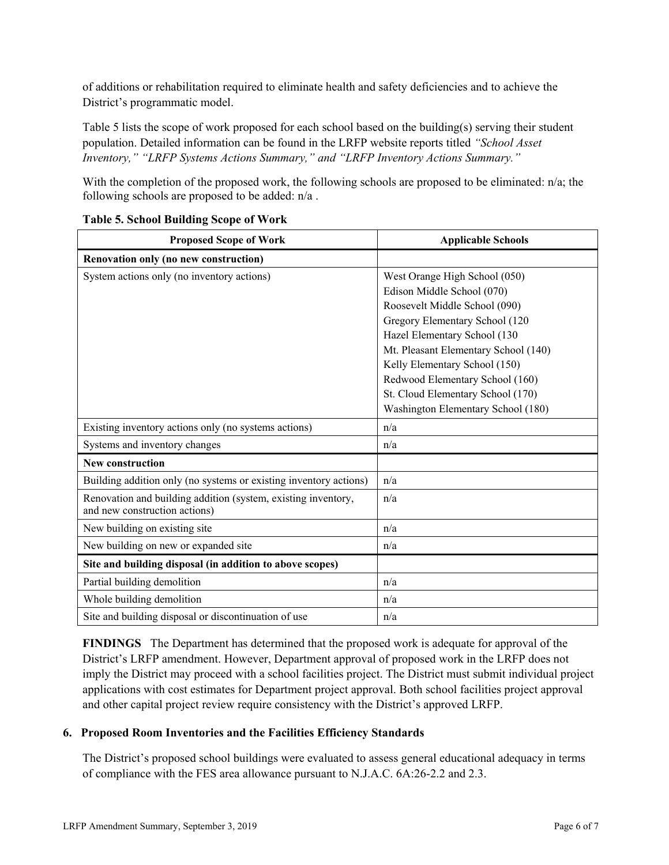of additions or rehabilitation required to eliminate health and safety deficiencies and to achieve the District's programmatic model.

Table 5 lists the scope of work proposed for each school based on the building(s) serving their student population. Detailed information can be found in the LRFP website reports titled *"School Asset Inventory," "LRFP Systems Actions Summary," and "LRFP Inventory Actions Summary."*

With the completion of the proposed work, the following schools are proposed to be eliminated:  $n/a$ ; the following schools are proposed to be added: n/a .

| <b>Proposed Scope of Work</b>                                                                  | <b>Applicable Schools</b>            |
|------------------------------------------------------------------------------------------------|--------------------------------------|
| Renovation only (no new construction)                                                          |                                      |
| System actions only (no inventory actions)                                                     | West Orange High School (050)        |
|                                                                                                | Edison Middle School (070)           |
|                                                                                                | Roosevelt Middle School (090)        |
|                                                                                                | Gregory Elementary School (120       |
|                                                                                                | Hazel Elementary School (130         |
|                                                                                                | Mt. Pleasant Elementary School (140) |
|                                                                                                | Kelly Elementary School (150)        |
|                                                                                                | Redwood Elementary School (160)      |
|                                                                                                | St. Cloud Elementary School (170)    |
|                                                                                                | Washington Elementary School (180)   |
| Existing inventory actions only (no systems actions)                                           | n/a                                  |
| Systems and inventory changes                                                                  | n/a                                  |
| <b>New construction</b>                                                                        |                                      |
| Building addition only (no systems or existing inventory actions)                              | n/a                                  |
| Renovation and building addition (system, existing inventory,<br>and new construction actions) | n/a                                  |
| New building on existing site                                                                  | n/a                                  |
| New building on new or expanded site                                                           | n/a                                  |
| Site and building disposal (in addition to above scopes)                                       |                                      |
| Partial building demolition                                                                    | n/a                                  |
| Whole building demolition                                                                      | n/a                                  |
| Site and building disposal or discontinuation of use                                           | n/a                                  |

# **Table 5. School Building Scope of Work**

**FINDINGS** The Department has determined that the proposed work is adequate for approval of the District's LRFP amendment. However, Department approval of proposed work in the LRFP does not imply the District may proceed with a school facilities project. The District must submit individual project applications with cost estimates for Department project approval. Both school facilities project approval and other capital project review require consistency with the District's approved LRFP.

# **6. Proposed Room Inventories and the Facilities Efficiency Standards**

The District's proposed school buildings were evaluated to assess general educational adequacy in terms of compliance with the FES area allowance pursuant to N.J.A.C. 6A:26-2.2 and 2.3.